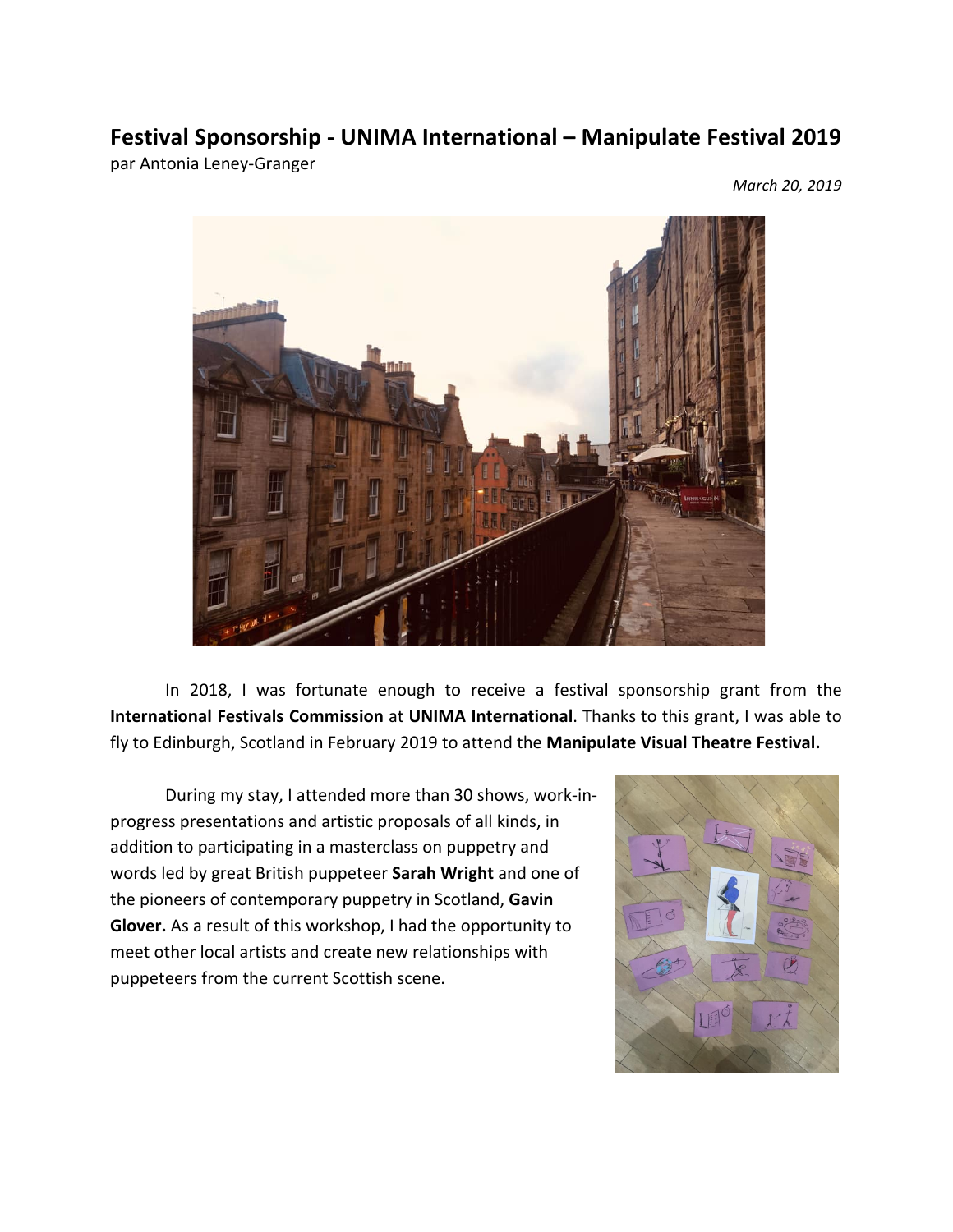## **Festival Sponsorship - UNIMA International – Manipulate Festival 2019**

par Antonia Leney-Granger

*March 20, 2019*



In 2018, I was fortunate enough to receive a festival sponsorship grant from the **International Festivals Commission** at **UNIMA International**. Thanks to this grant, I was able to fly to Edinburgh, Scotland in February 2019 to attend the Manipulate Visual Theatre Festival.

During my stay, I attended more than 30 shows, work-inprogress presentations and artistic proposals of all kinds, in addition to participating in a masterclass on puppetry and words led by great British puppeteer **Sarah Wright** and one of the pioneers of contemporary puppetry in Scotland, Gavin **Glover.** As a result of this workshop, I had the opportunity to meet other local artists and create new relationships with puppeteers from the current Scottish scene.

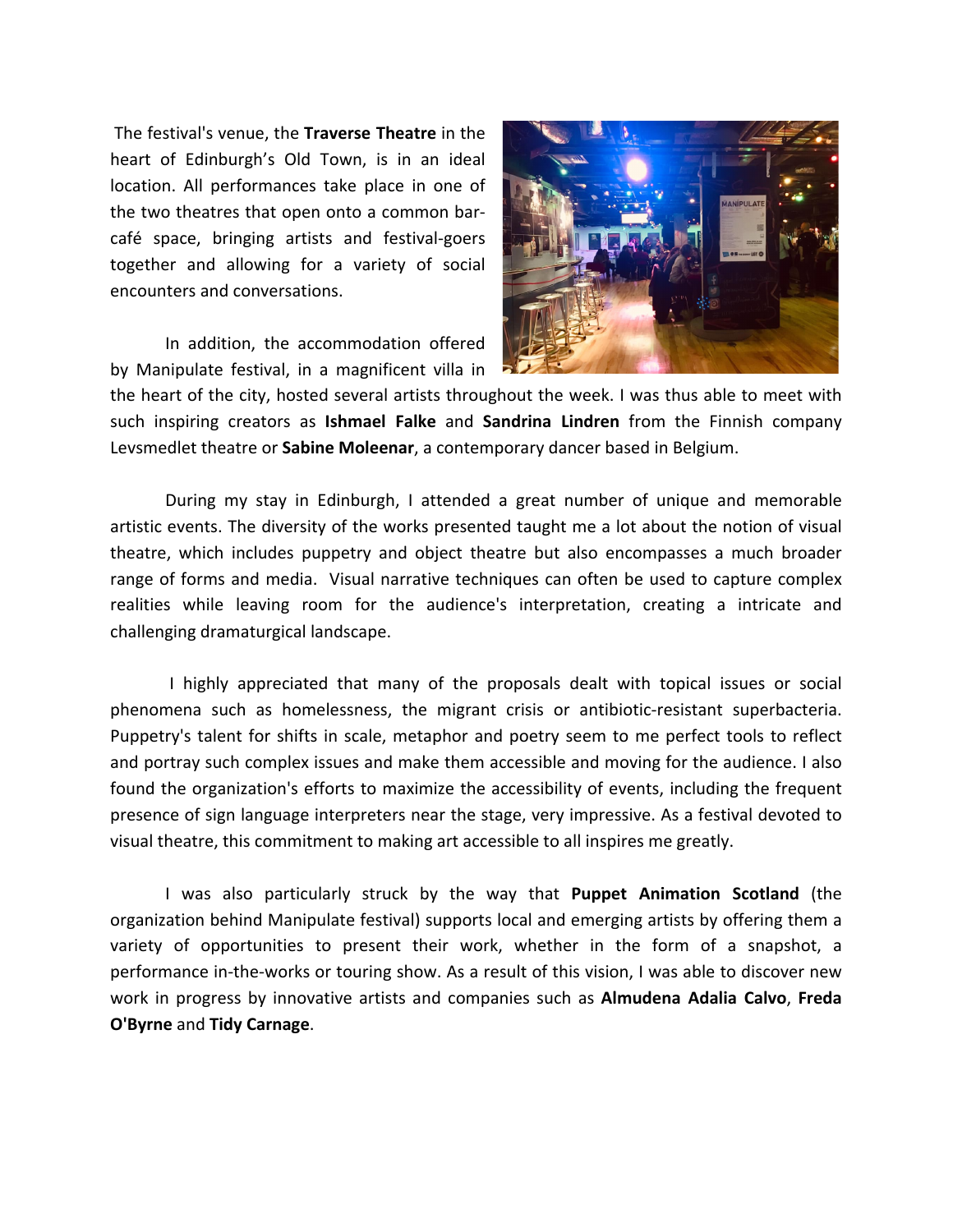The festival's venue, the **Traverse Theatre** in the heart of Edinburgh's Old Town, is in an ideal location. All performances take place in one of the two theatres that open onto a common barcafé space, bringing artists and festival-goers together and allowing for a variety of social encounters and conversations.

In addition, the accommodation offered by Manipulate festival, in a magnificent villa in



the heart of the city, hosted several artists throughout the week. I was thus able to meet with such inspiring creators as **Ishmael Falke** and **Sandrina Lindren** from the Finnish company Levsmedlet theatre or **Sabine Moleenar**, a contemporary dancer based in Belgium.

During my stay in Edinburgh, I attended a great number of unique and memorable artistic events. The diversity of the works presented taught me a lot about the notion of visual theatre, which includes puppetry and object theatre but also encompasses a much broader range of forms and media. Visual narrative techniques can often be used to capture complex realities while leaving room for the audience's interpretation, creating a intricate and challenging dramaturgical landscape.

I highly appreciated that many of the proposals dealt with topical issues or social phenomena such as homelessness, the migrant crisis or antibiotic-resistant superbacteria. Puppetry's talent for shifts in scale, metaphor and poetry seem to me perfect tools to reflect and portray such complex issues and make them accessible and moving for the audience. I also found the organization's efforts to maximize the accessibility of events, including the frequent presence of sign language interpreters near the stage, very impressive. As a festival devoted to visual theatre, this commitment to making art accessible to all inspires me greatly.

I was also particularly struck by the way that **Puppet Animation Scotland** (the organization behind Manipulate festival) supports local and emerging artists by offering them a variety of opportunities to present their work, whether in the form of a snapshot, a performance in-the-works or touring show. As a result of this vision, I was able to discover new work in progress by innovative artists and companies such as **Almudena Adalia Calvo**, **Freda O'Byrne** and **Tidy Carnage**.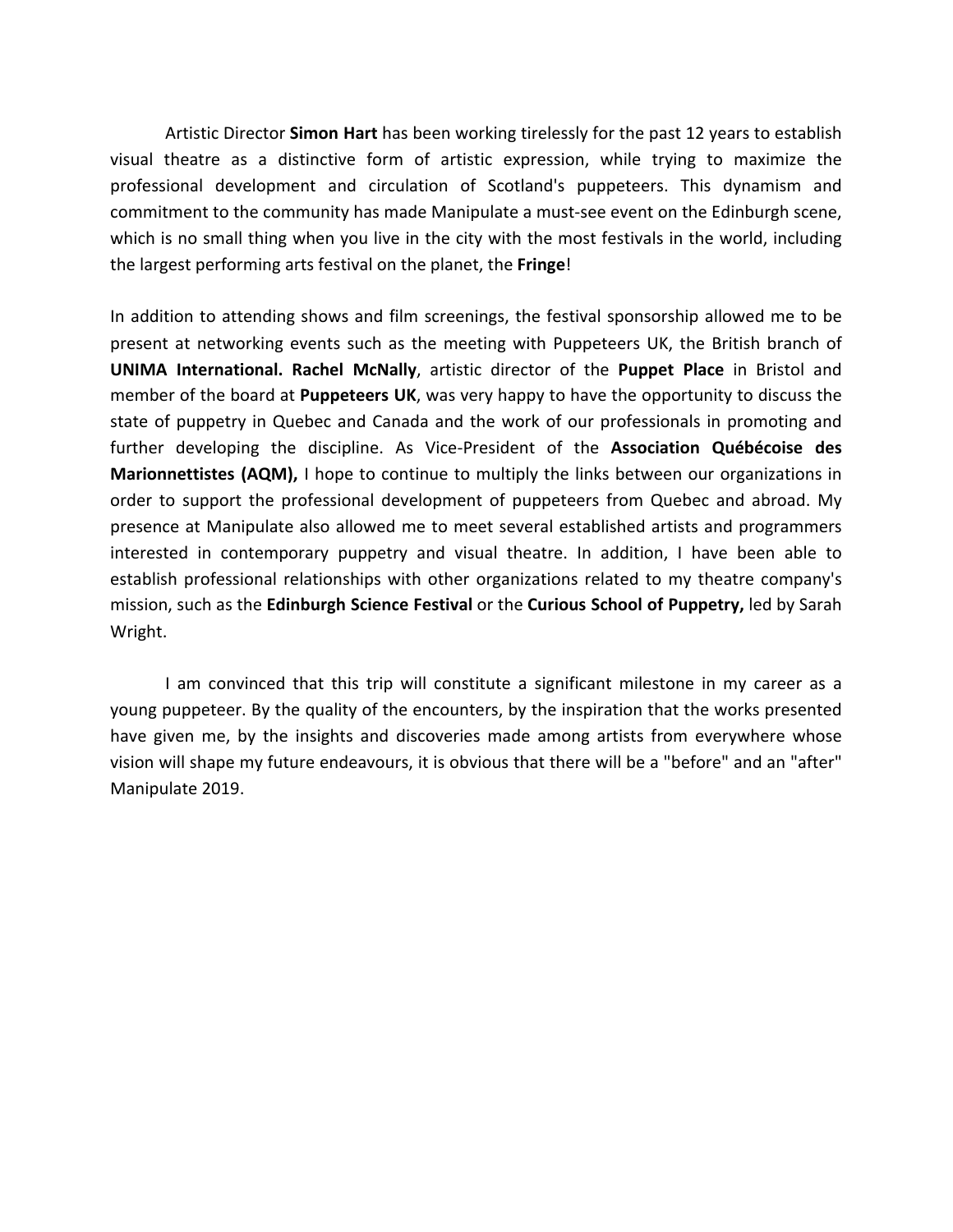Artistic Director **Simon Hart** has been working tirelessly for the past 12 years to establish visual theatre as a distinctive form of artistic expression, while trying to maximize the professional development and circulation of Scotland's puppeteers. This dynamism and commitment to the community has made Manipulate a must-see event on the Edinburgh scene, which is no small thing when you live in the city with the most festivals in the world, including the largest performing arts festival on the planet, the Fringe!

In addition to attending shows and film screenings, the festival sponsorship allowed me to be present at networking events such as the meeting with Puppeteers UK, the British branch of **UNIMA** International. Rachel McNally, artistic director of the Puppet Place in Bristol and member of the board at **Puppeteers UK**, was very happy to have the opportunity to discuss the state of puppetry in Quebec and Canada and the work of our professionals in promoting and further developing the discipline. As Vice-President of the **Association Québécoise des Marionnettistes (AQM),** I hope to continue to multiply the links between our organizations in order to support the professional development of puppeteers from Quebec and abroad. My presence at Manipulate also allowed me to meet several established artists and programmers interested in contemporary puppetry and visual theatre. In addition, I have been able to establish professional relationships with other organizations related to my theatre company's mission, such as the **Edinburgh Science Festival** or the **Curious School of Puppetry**, led by Sarah Wright.

I am convinced that this trip will constitute a significant milestone in my career as a young puppeteer. By the quality of the encounters, by the inspiration that the works presented have given me, by the insights and discoveries made among artists from everywhere whose vision will shape my future endeavours, it is obvious that there will be a "before" and an "after" Manipulate 2019.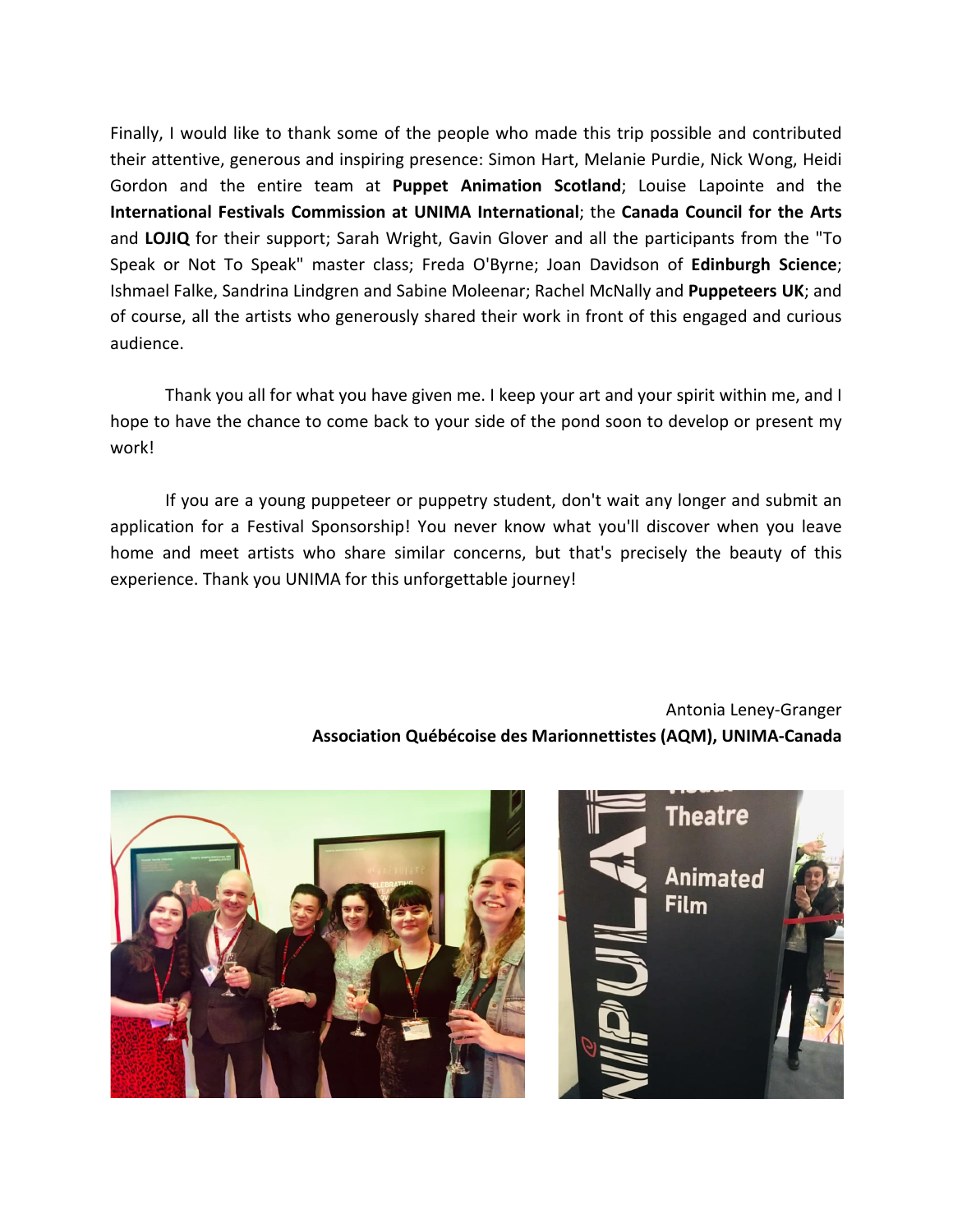Finally, I would like to thank some of the people who made this trip possible and contributed their attentive, generous and inspiring presence: Simon Hart, Melanie Purdie, Nick Wong, Heidi Gordon and the entire team at **Puppet Animation Scotland**; Louise Lapointe and the **International Festivals Commission at UNIMA International**; the Canada Council for the Arts and LOJIQ for their support; Sarah Wright, Gavin Glover and all the participants from the "To Speak or Not To Speak" master class; Freda O'Byrne; Joan Davidson of Edinburgh Science; Ishmael Falke, Sandrina Lindgren and Sabine Moleenar; Rachel McNally and Puppeteers UK; and of course, all the artists who generously shared their work in front of this engaged and curious audience.

Thank you all for what you have given me. I keep your art and your spirit within me, and I hope to have the chance to come back to your side of the pond soon to develop or present my work! 

If you are a young puppeteer or puppetry student, don't wait any longer and submit an application for a Festival Sponsorship! You never know what you'll discover when you leave home and meet artists who share similar concerns, but that's precisely the beauty of this experience. Thank you UNIMA for this unforgettable journey!

> Antonia Leney-Granger **Association Québécoise des Marionnettistes (AQM), UNIMA-Canada**

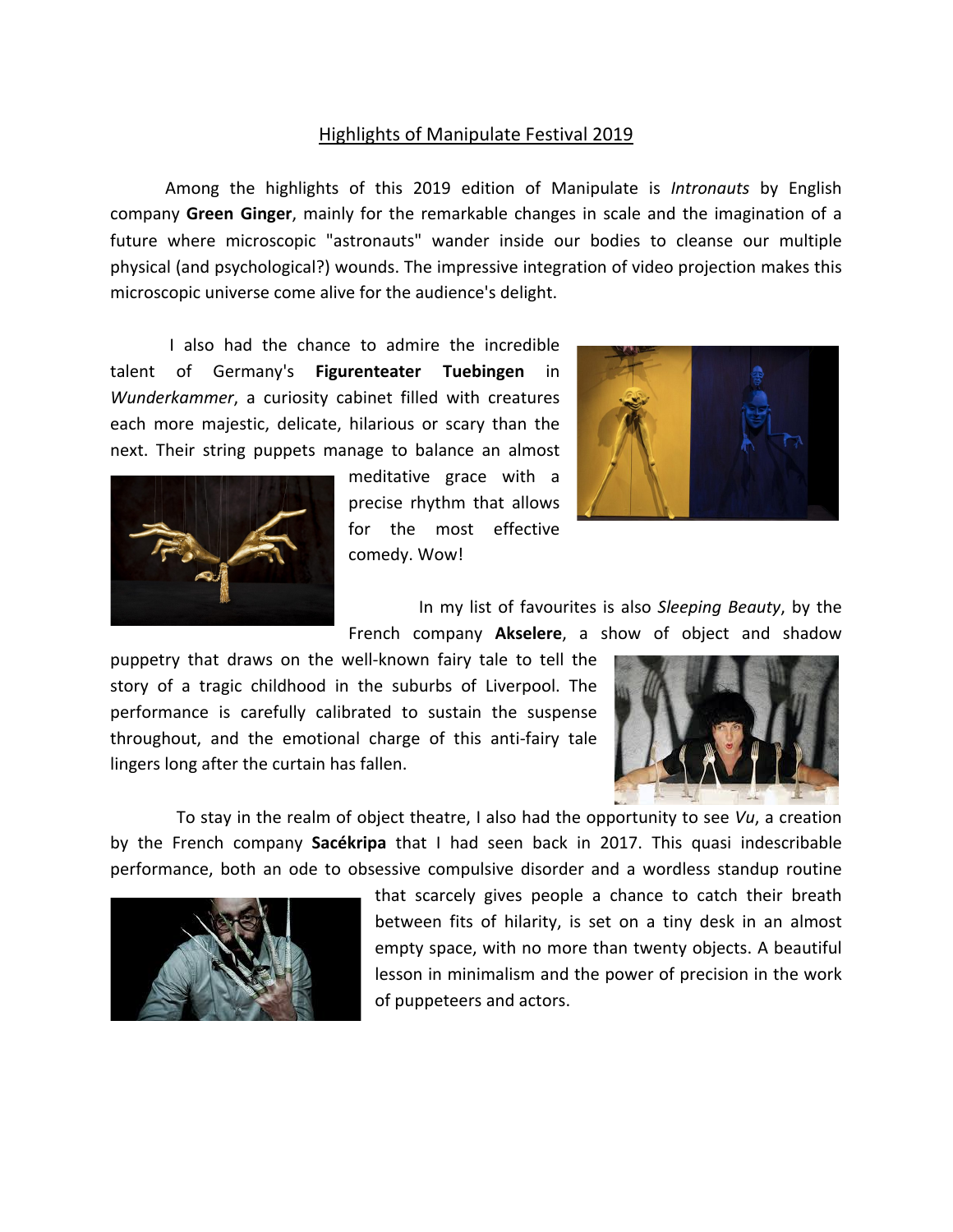## Highlights of Manipulate Festival 2019

Among the highlights of this 2019 edition of Manipulate is *Intronauts* by English company Green Ginger, mainly for the remarkable changes in scale and the imagination of a future where microscopic "astronauts" wander inside our bodies to cleanse our multiple physical (and psychological?) wounds. The impressive integration of video projection makes this microscopic universe come alive for the audience's delight.

I also had the chance to admire the incredible talent of Germany's **Figurenteater Tuebingen** in *Wunderkammer*, a curiosity cabinet filled with creatures each more majestic, delicate, hilarious or scary than the next. Their string puppets manage to balance an almost



meditative grace with a precise rhythm that allows for the most effective comedy. Wow!



In my list of favourites is also Sleeping Beauty, by the French company Akselere, a show of object and shadow

puppetry that draws on the well-known fairy tale to tell the story of a tragic childhood in the suburbs of Liverpool. The performance is carefully calibrated to sustain the suspense throughout, and the emotional charge of this anti-fairy tale lingers long after the curtain has fallen.



To stay in the realm of object theatre, I also had the opportunity to see *Vu*, a creation by the French company **Sacékripa** that I had seen back in 2017. This quasi indescribable performance, both an ode to obsessive compulsive disorder and a wordless standup routine



that scarcely gives people a chance to catch their breath between fits of hilarity, is set on a tiny desk in an almost empty space, with no more than twenty objects. A beautiful lesson in minimalism and the power of precision in the work of puppeteers and actors.